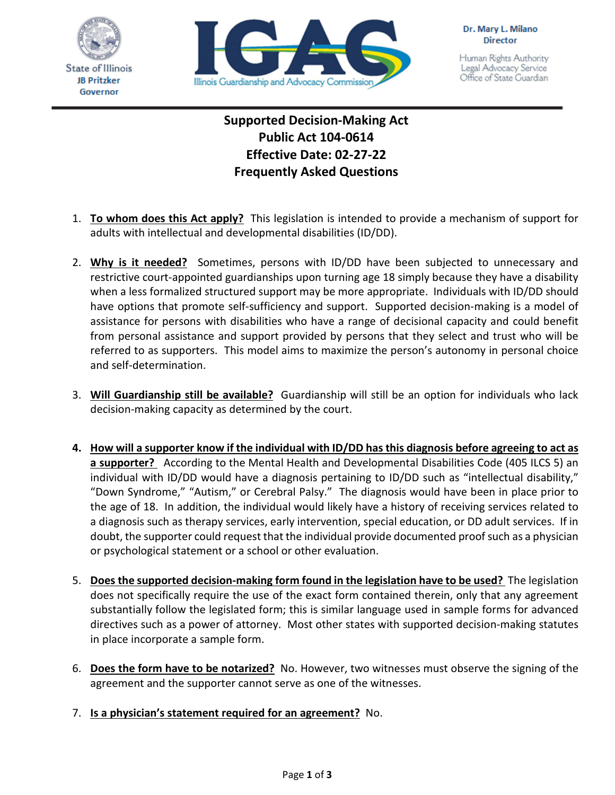



Human Rights Authority Legal Advocacy Service Office of State Guardian

## **Supported Decision-Making Act Public Act 104-0614 Effective Date: 02-27-22 Frequently Asked Questions**

- 1. **To whom does this Act apply?** This legislation is intended to provide a mechanism of support for adults with intellectual and developmental disabilities (ID/DD).
- 2. **Why is it needed?** Sometimes, persons with ID/DD have been subjected to unnecessary and restrictive court-appointed guardianships upon turning age 18 simply because they have a disability when a less formalized structured support may be more appropriate. Individuals with ID/DD should have options that promote self-sufficiency and support. Supported decision-making is a model of assistance for persons with disabilities who have a range of decisional capacity and could benefit from personal assistance and support provided by persons that they select and trust who will be referred to as supporters. This model aims to maximize the person's autonomy in personal choice and self-determination.
- 3. **Will Guardianship still be available?** Guardianship will still be an option for individuals who lack decision-making capacity as determined by the court.
- **4. How will a supporter know if the individual with ID/DD has this diagnosis before agreeing to act as a supporter?** According to the Mental Health and Developmental Disabilities Code (405 ILCS 5) an individual with ID/DD would have a diagnosis pertaining to ID/DD such as "intellectual disability," "Down Syndrome," "Autism," or Cerebral Palsy." The diagnosis would have been in place prior to the age of 18. In addition, the individual would likely have a history of receiving services related to a diagnosis such as therapy services, early intervention, special education, or DD adult services. If in doubt, the supporter could request that the individual provide documented proof such as a physician or psychological statement or a school or other evaluation.
- 5. **Does the supported decision-making form found in the legislation have to be used?** The legislation does not specifically require the use of the exact form contained therein, only that any agreement substantially follow the legislated form; this is similar language used in sample forms for advanced directives such as a power of attorney. Most other states with supported decision-making statutes in place incorporate a sample form.
- 6. **Does the form have to be notarized?** No. However, two witnesses must observe the signing of the agreement and the supporter cannot serve as one of the witnesses.
- 7. **Is a physician's statement required for an agreement?** No.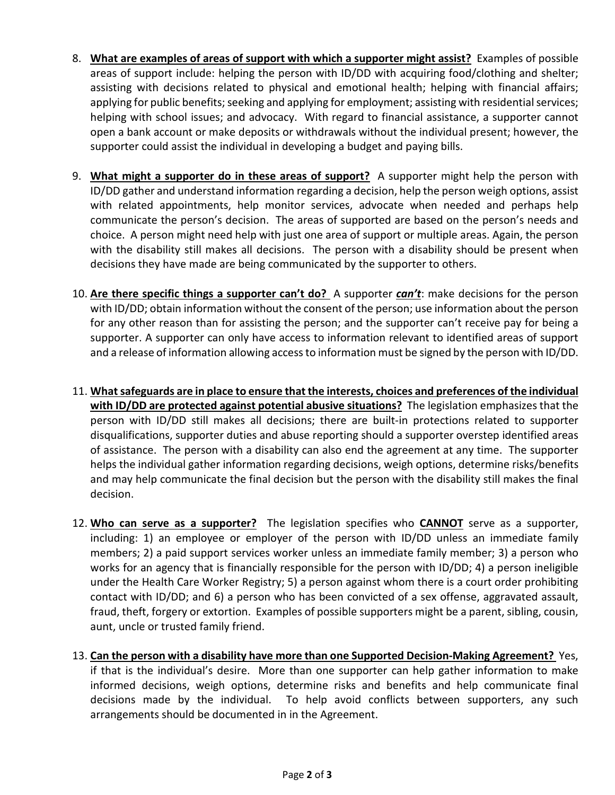- 8. **What are examples of areas of support with which a supporter might assist?** Examples of possible areas of support include: helping the person with ID/DD with acquiring food/clothing and shelter; assisting with decisions related to physical and emotional health; helping with financial affairs; applying for public benefits; seeking and applying for employment; assisting with residential services; helping with school issues; and advocacy. With regard to financial assistance, a supporter cannot open a bank account or make deposits or withdrawals without the individual present; however, the supporter could assist the individual in developing a budget and paying bills.
- 9. **What might a supporter do in these areas of support?** A supporter might help the person with ID/DD gather and understand information regarding a decision, help the person weigh options, assist with related appointments, help monitor services, advocate when needed and perhaps help communicate the person's decision. The areas of supported are based on the person's needs and choice. A person might need help with just one area of support or multiple areas. Again, the person with the disability still makes all decisions. The person with a disability should be present when decisions they have made are being communicated by the supporter to others.
- 10. **Are there specific things a supporter can't do?** A supporter *can't*: make decisions for the person with ID/DD; obtain information without the consent of the person; use information about the person for any other reason than for assisting the person; and the supporter can't receive pay for being a supporter. A supporter can only have access to information relevant to identified areas of support and a release of information allowing access to information must be signed by the person with ID/DD.
- 11. **What safeguards are in place to ensure that the interests, choices and preferences of the individual with ID/DD are protected against potential abusive situations?** The legislation emphasizes that the person with ID/DD still makes all decisions; there are built-in protections related to supporter disqualifications, supporter duties and abuse reporting should a supporter overstep identified areas of assistance. The person with a disability can also end the agreement at any time. The supporter helps the individual gather information regarding decisions, weigh options, determine risks/benefits and may help communicate the final decision but the person with the disability still makes the final decision.
- 12. **Who can serve as a supporter?** The legislation specifies who **CANNOT** serve as a supporter, including: 1) an employee or employer of the person with ID/DD unless an immediate family members; 2) a paid support services worker unless an immediate family member; 3) a person who works for an agency that is financially responsible for the person with ID/DD; 4) a person ineligible under the Health Care Worker Registry; 5) a person against whom there is a court order prohibiting contact with ID/DD; and 6) a person who has been convicted of a sex offense, aggravated assault, fraud, theft, forgery or extortion. Examples of possible supporters might be a parent, sibling, cousin, aunt, uncle or trusted family friend.
- 13. **Can the person with a disability have more than one Supported Decision-Making Agreement?** Yes, if that is the individual's desire. More than one supporter can help gather information to make informed decisions, weigh options, determine risks and benefits and help communicate final decisions made by the individual. To help avoid conflicts between supporters, any such arrangements should be documented in in the Agreement.